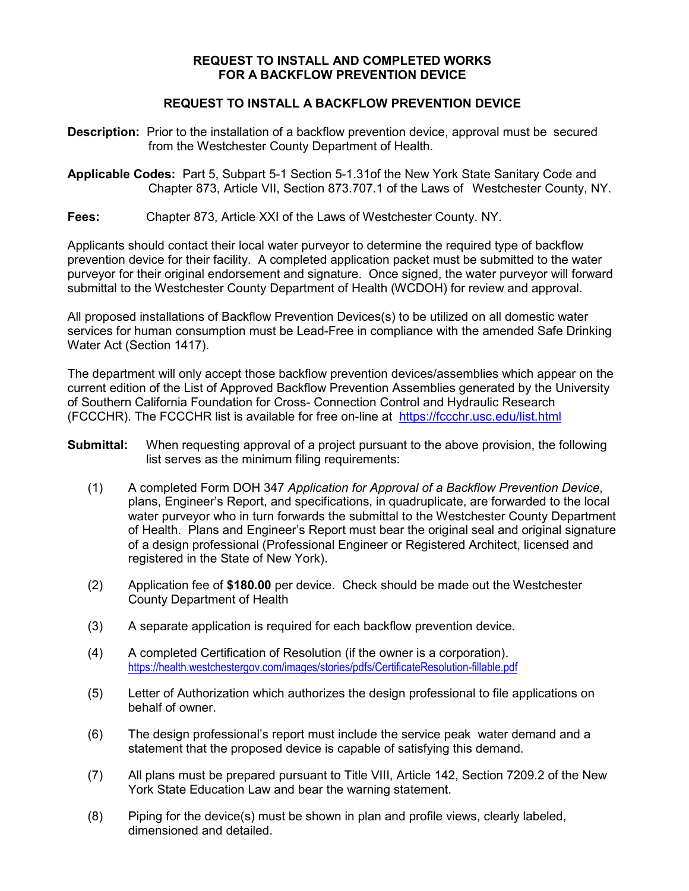## **REQUEST TO INSTALL AND COMPLETED WORKS FOR A BACKFLOW PREVENTION DEVICE**

## **REQUEST TO INSTALL A BACKFLOW PREVENTION DEVICE**

- **Description:** Prior to the installation of a backflow prevention device, approval must be secured from the Westchester County Department of Health.
- **Applicable Codes:** Part 5, Subpart 5-1 Section 5-1.31of the New York State Sanitary Code and Chapter 873, Article VII, Section 873.707.1 of the Laws of Westchester County, NY.
- **Fees:** Chapter 873, Article XXI of the Laws of Westchester County. NY.

Applicants should contact their local water purveyor to determine the required type of backflow prevention device for their facility. A completed application packet must be submitted to the water purveyor for their original endorsement and signature. Once signed, the water purveyor will forward submittal to the Westchester County Department of Health (WCDOH) for review and approval.

All proposed installations of Backflow Prevention Devices(s) to be utilized on all domestic water services for human consumption must be Lead-Free in compliance with the amended Safe Drinking Water Act (Section 1417).

The department will only accept those backflow prevention devices/assemblies which appear on the current edition of the List of Approved Backflow Prevention Assemblies generated by the University of Southern California Foundation for Cross- Connection Control and Hydraulic Research (FCCCHR). The FCCCHR list is available for free on-line at <https://fccchr.usc.edu/list.html>

- **Submittal:** When requesting approval of a project pursuant to the above provision, the following list serves as the minimum filing requirements:
	- (1) A completed Form DOH 347 *Application for Approval of a Backflow Prevention Device*, plans, Engineer's Report, and specifications, in quadruplicate, are forwarded to the local water purveyor who in turn forwards the submittal to the Westchester County Department of Health. Plans and Engineer's Report must bear the original seal and original signature of a design professional (Professional Engineer or Registered Architect, licensed and registered in the State of New York).
	- (2) Application fee of **\$180.00** per device. Check should be made out the Westchester County Department of Health
	- (3) A separate application is required for each backflow prevention device.
	- (4) A completed Certification of Resolution (if the owner is a corporation). <https://health.westchestergov.com/images/stories/pdfs/CertificateResolution-fillable.pdf>
	- (5) Letter of Authorization which authorizes the design professional to file applications on behalf of owner.
	- (6) The design professional's report must include the service peak water demand and a statement that the proposed device is capable of satisfying this demand.
	- (7) All plans must be prepared pursuant to Title VIII, Article 142, Section 7209.2 of the New York State Education Law and bear the warning statement.
	- (8) Piping for the device(s) must be shown in plan and profile views, clearly labeled, dimensioned and detailed.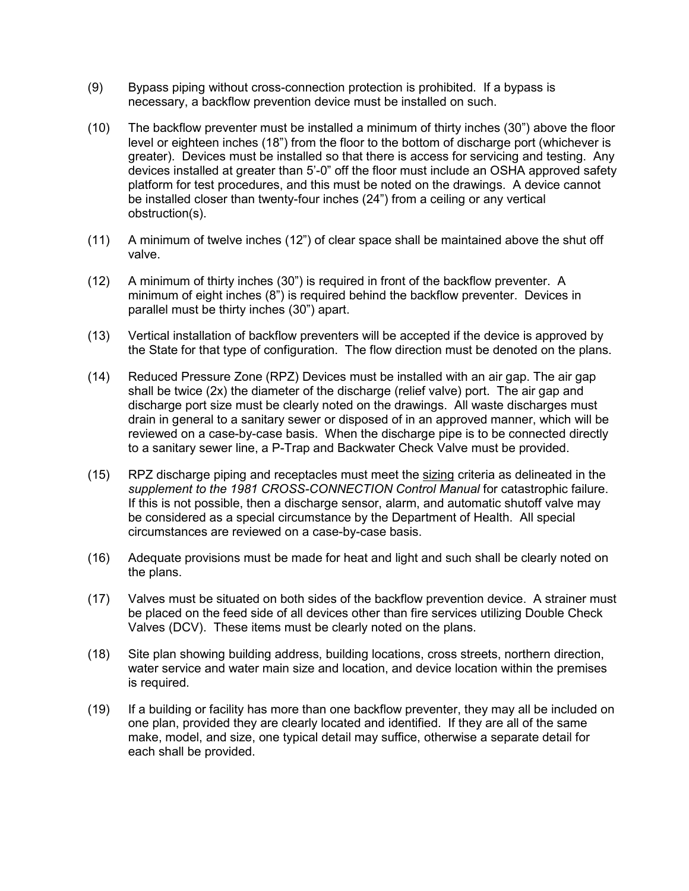- (9) Bypass piping without cross-connection protection is prohibited. If a bypass is necessary, a backflow prevention device must be installed on such.
- (10) The backflow preventer must be installed a minimum of thirty inches (30") above the floor level or eighteen inches (18") from the floor to the bottom of discharge port (whichever is greater). Devices must be installed so that there is access for servicing and testing. Any devices installed at greater than 5'-0" off the floor must include an OSHA approved safety platform for test procedures, and this must be noted on the drawings. A device cannot be installed closer than twenty-four inches (24") from a ceiling or any vertical obstruction(s).
- (11) A minimum of twelve inches (12") of clear space shall be maintained above the shut off valve.
- (12) A minimum of thirty inches (30") is required in front of the backflow preventer. A minimum of eight inches (8") is required behind the backflow preventer. Devices in parallel must be thirty inches (30") apart.
- (13) Vertical installation of backflow preventers will be accepted if the device is approved by the State for that type of configuration. The flow direction must be denoted on the plans.
- (14) Reduced Pressure Zone (RPZ) Devices must be installed with an air gap. The air gap shall be twice (2x) the diameter of the discharge (relief valve) port. The air gap and discharge port size must be clearly noted on the drawings. All waste discharges must drain in general to a sanitary sewer or disposed of in an approved manner, which will be reviewed on a case-by-case basis. When the discharge pipe is to be connected directly to a sanitary sewer line, a P-Trap and Backwater Check Valve must be provided.
- (15) RPZ discharge piping and receptacles must meet the sizing criteria as delineated in the<br>supplement to the 1981 CROSS CONNECTION Control Manual for catastrophic failure supplement to the 1981 CROSS-CONNECTION Control Manual for catastrophic failure. If this is not possible, then a discharge sensor, alarm, and automatic shutoff valve may be considered as a special circumstance by the Department of Health. All special circumstances are reviewed on a case-by-case basis.
- (16) Adequate provisions must be made for heat and light and such shall be clearly noted on the plans.
- (17) Valves must be situated on both sides of the backflow prevention device. A strainer must be placed on the feed side of all devices other than fire services utilizing Double Check Valves (DCV). These items must be clearly noted on the plans.
- (18) Site plan showing building address, building locations, cross streets, northern direction, water service and water main size and location, and device location within the premises is required.
- (19) If a building or facility has more than one backflow preventer, they may all be included on one plan, provided they are clearly located and identified. If they are all of the same make, model, and size, one typical detail may suffice, otherwise a separate detail for each shall be provided.